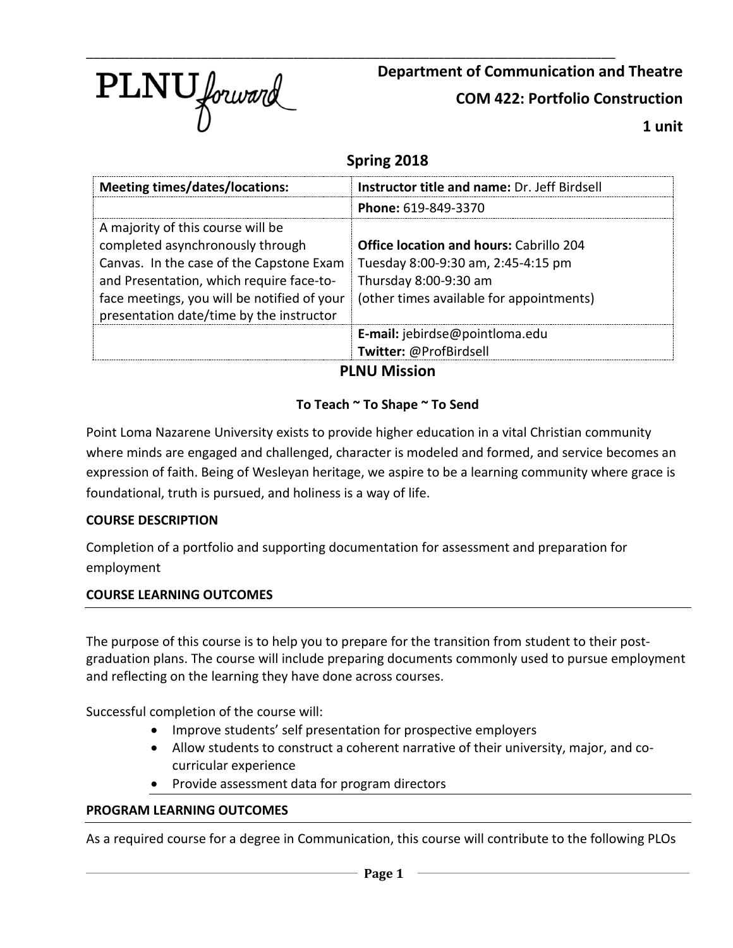

**Department of Communication and Theatre**

**COM 422: Portfolio Construction**

**1 unit**

## **Spring 2018**

| <b>Meeting times/dates/locations:</b>                                                                                                                                                                                                                    | Instructor title and name: Dr. Jeff Birdsell                                                                                                              |
|----------------------------------------------------------------------------------------------------------------------------------------------------------------------------------------------------------------------------------------------------------|-----------------------------------------------------------------------------------------------------------------------------------------------------------|
|                                                                                                                                                                                                                                                          | Phone: 619-849-3370                                                                                                                                       |
| A majority of this course will be<br>completed asynchronously through<br>Canvas. In the case of the Capstone Exam<br>and Presentation, which require face-to-<br>face meetings, you will be notified of your<br>presentation date/time by the instructor | <b>Office location and hours: Cabrillo 204</b><br>Tuesday 8:00-9:30 am, 2:45-4:15 pm<br>Thursday 8:00-9:30 am<br>(other times available for appointments) |
|                                                                                                                                                                                                                                                          | E-mail: jebirdse@pointloma.edu                                                                                                                            |
|                                                                                                                                                                                                                                                          | Twitter: @ProfBirdsell                                                                                                                                    |

**PLNU Mission**

### **To Teach ~ To Shape ~ To Send**

Point Loma Nazarene University exists to provide higher education in a vital Christian community where minds are engaged and challenged, character is modeled and formed, and service becomes an expression of faith. Being of Wesleyan heritage, we aspire to be a learning community where grace is foundational, truth is pursued, and holiness is a way of life.

#### **COURSE DESCRIPTION**

Completion of a portfolio and supporting documentation for assessment and preparation for employment

#### **COURSE LEARNING OUTCOMES**

The purpose of this course is to help you to prepare for the transition from student to their postgraduation plans. The course will include preparing documents commonly used to pursue employment and reflecting on the learning they have done across courses.

Successful completion of the course will:

- Improve students' self presentation for prospective employers
- Allow students to construct a coherent narrative of their university, major, and cocurricular experience
- Provide assessment data for program directors

#### **PROGRAM LEARNING OUTCOMES**

As a required course for a degree in Communication, this course will contribute to the following PLOs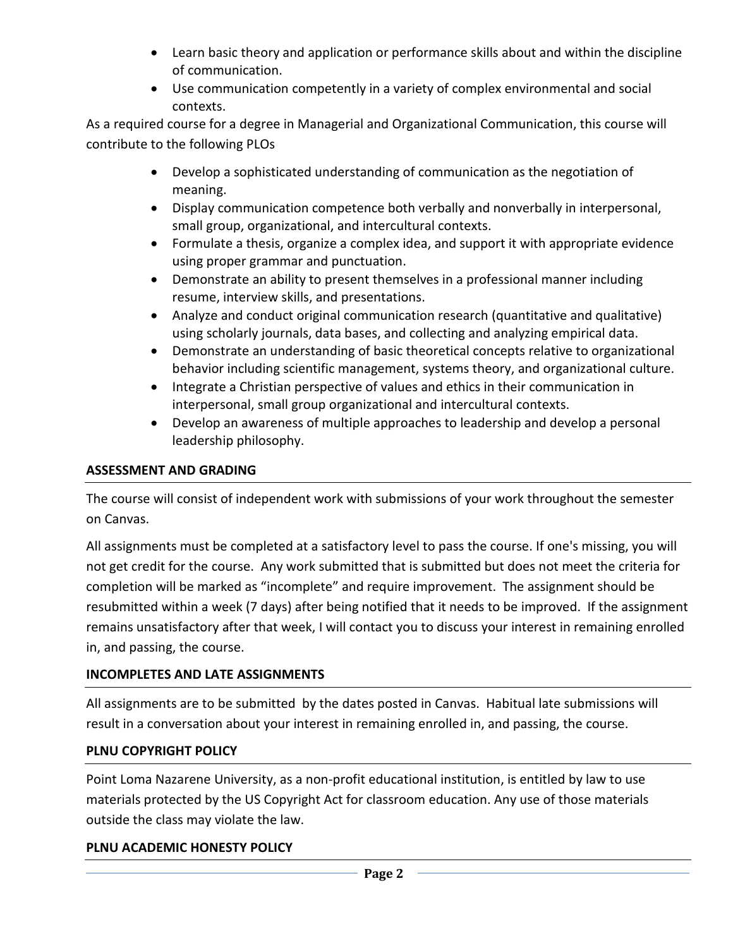- Learn basic theory and application or performance skills about and within the discipline of communication.
- Use communication competently in a variety of complex environmental and social contexts.

As a required course for a degree in Managerial and Organizational Communication, this course will contribute to the following PLOs

- Develop a sophisticated understanding of communication as the negotiation of meaning.
- Display communication competence both verbally and nonverbally in interpersonal, small group, organizational, and intercultural contexts.
- Formulate a thesis, organize a complex idea, and support it with appropriate evidence using proper grammar and punctuation.
- Demonstrate an ability to present themselves in a professional manner including resume, interview skills, and presentations.
- Analyze and conduct original communication research (quantitative and qualitative) using scholarly journals, data bases, and collecting and analyzing empirical data.
- Demonstrate an understanding of basic theoretical concepts relative to organizational behavior including scientific management, systems theory, and organizational culture.
- Integrate a Christian perspective of values and ethics in their communication in interpersonal, small group organizational and intercultural contexts.
- Develop an awareness of multiple approaches to leadership and develop a personal leadership philosophy.

## **ASSESSMENT AND GRADING**

The course will consist of independent work with submissions of your work throughout the semester on Canvas.

All assignments must be completed at a satisfactory level to pass the course. If one's missing, you will not get credit for the course. Any work submitted that is submitted but does not meet the criteria for completion will be marked as "incomplete" and require improvement. The assignment should be resubmitted within a week (7 days) after being notified that it needs to be improved. If the assignment remains unsatisfactory after that week, I will contact you to discuss your interest in remaining enrolled in, and passing, the course.

### **INCOMPLETES AND LATE ASSIGNMENTS**

All assignments are to be submitted by the dates posted in Canvas. Habitual late submissions will result in a conversation about your interest in remaining enrolled in, and passing, the course.

# **PLNU COPYRIGHT POLICY**

Point Loma Nazarene University, as a non-profit educational institution, is entitled by law to use materials protected by the US Copyright Act for classroom education. Any use of those materials outside the class may violate the law.

### **PLNU ACADEMIC HONESTY POLICY**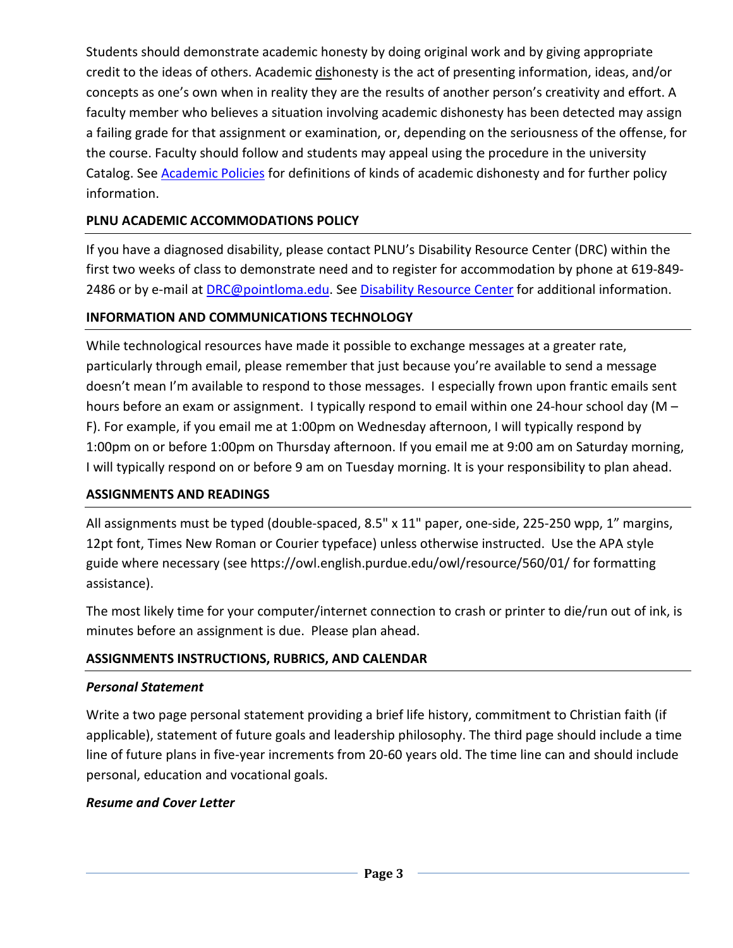Students should demonstrate academic honesty by doing original work and by giving appropriate credit to the ideas of others. Academic dishonesty is the act of presenting information, ideas, and/or concepts as one's own when in reality they are the results of another person's creativity and effort. A faculty member who believes a situation involving academic dishonesty has been detected may assign a failing grade for that assignment or examination, or, depending on the seriousness of the offense, for the course. Faculty should follow and students may appeal using the procedure in the university Catalog. See **Academic Policies** for definitions of kinds of academic dishonesty and for further policy information.

### **PLNU ACADEMIC ACCOMMODATIONS POLICY**

If you have a diagnosed disability, please contact PLNU's Disability Resource Center (DRC) within the first two weeks of class to demonstrate need and to register for accommodation by phone at 619-849- 2486 or by e-mail at [DRC@pointloma.edu.](mailto:DRC@pointloma.edu) See [Disability Resource Center](http://www.pointloma.edu/experience/offices/administrative-offices/academic-advising-office/disability-resource-center) for additional information.

## **INFORMATION AND COMMUNICATIONS TECHNOLOGY**

While technological resources have made it possible to exchange messages at a greater rate, particularly through email, please remember that just because you're available to send a message doesn't mean I'm available to respond to those messages. I especially frown upon frantic emails sent hours before an exam or assignment. I typically respond to email within one 24-hour school day (M -F). For example, if you email me at 1:00pm on Wednesday afternoon, I will typically respond by 1:00pm on or before 1:00pm on Thursday afternoon. If you email me at 9:00 am on Saturday morning, I will typically respond on or before 9 am on Tuesday morning. It is your responsibility to plan ahead.

### **ASSIGNMENTS AND READINGS**

All assignments must be typed (double-spaced, 8.5" x 11" paper, one-side, 225-250 wpp, 1" margins, 12pt font, Times New Roman or Courier typeface) unless otherwise instructed. Use the APA style guide where necessary (see https://owl.english.purdue.edu/owl/resource/560/01/ for formatting assistance).

The most likely time for your computer/internet connection to crash or printer to die/run out of ink, is minutes before an assignment is due. Please plan ahead.

# **ASSIGNMENTS INSTRUCTIONS, RUBRICS, AND CALENDAR**

### *Personal Statement*

Write a two page personal statement providing a brief life history, commitment to Christian faith (if applicable), statement of future goals and leadership philosophy. The third page should include a time line of future plans in five-year increments from 20-60 years old. The time line can and should include personal, education and vocational goals.

# *Resume and Cover Letter*